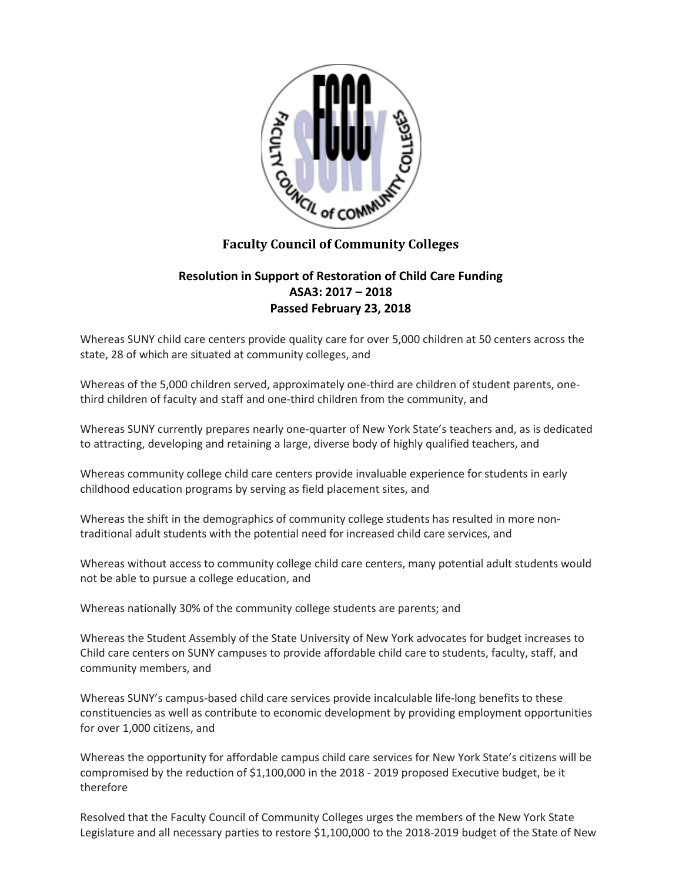

## **Faculty Council of Community Colleges**

## **Resolution in Support of Restoration of Child Care Funding ASA3: 2017 – 2018 Passed February 23, 2018**

Whereas SUNY child care centers provide quality care for over 5,000 children at 50 centers across the state, 28 of which are situated at community colleges, and

Whereas of the 5,000 children served, approximately one-third are children of student parents, onethird children of faculty and staff and one-third children from the community, and

Whereas SUNY currently prepares nearly one-quarter of New York State's teachers and, as is dedicated to attracting, developing and retaining a large, diverse body of highly qualified teachers, and

Whereas community college child care centers provide invaluable experience for students in early childhood education programs by serving as field placement sites, and

Whereas the shift in the demographics of community college students has resulted in more nontraditional adult students with the potential need for increased child care services, and

Whereas without access to community college child care centers, many potential adult students would not be able to pursue a college education, and

Whereas nationally 30% of the community college students are parents; and

Whereas the Student Assembly of the State University of New York advocates for budget increases to Child care centers on SUNY campuses to provide affordable child care to students, faculty, staff, and community members, and

Whereas SUNY's campus-based child care services provide incalculable life-long benefits to these constituencies as well as contribute to economic development by providing employment opportunities for over 1,000 citizens, and

Whereas the opportunity for affordable campus child care services for New York State's citizens will be compromised by the reduction of \$1,100,000 in the 2018 - 2019 proposed Executive budget, be it therefore

Resolved that the Faculty Council of Community Colleges urges the members of the New York State Legislature and all necessary parties to restore \$1,100,000 to the 2018-2019 budget of the State of New